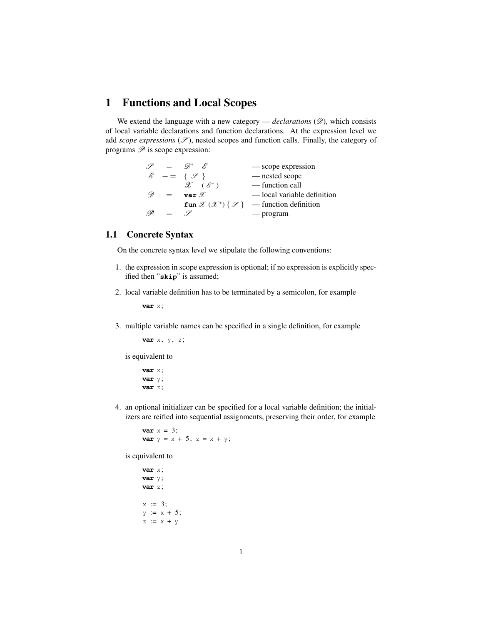### 1 Functions and Local Scopes

We extend the language with a new category  $-$  *declarations*  $(\mathscr{D})$ , which consists of local variable declarations and function declarations. At the expression level we add *scope expressions*  $(\mathscr{S})$ , nested scopes and function calls. Finally, the category of programs  $\mathscr P$  is scope expression:

> $\mathscr{S} = \mathscr{D}^*$   $\mathscr{E}$  — scope expression  $\mathscr{E}$  + = {  $\mathscr{S}$  } - nested scope  $\mathscr{X}$  ( $\mathscr{E}^*$ ) — function call  $\mathscr{D}$  = **var**  $\mathscr{X}$  — local variable definition **fun**  $\mathscr{X}(\mathscr{X}^*)\{\mathscr{S}\}\$  — function definition  $\mathscr{P} = \mathscr{S}$  — program

#### 1.1 Concrete Syntax

On the concrete syntax level we stipulate the following conventions:

- 1. the expression in scope expression is optional; if no expression is explicitly specified then "**skip**" is assumed;
- 2. local variable definition has to be terminated by a semicolon, for example

**var** x;

3. multiple variable names can be specified in a single definition, for example

**var** x, y, z;

is equivalent to

```
var x;
var y;
var z;
```
4. an optional initializer can be specified for a local variable definition; the initializers are reified into sequential assignments, preserving their order, for example

**var**  $x = 3$ ; **var**  $y = x + 5$ ,  $z = x + y$ ;

is equivalent to

```
var x;
var y;
var z;
x := 3;y := x + 5;z := x + y
```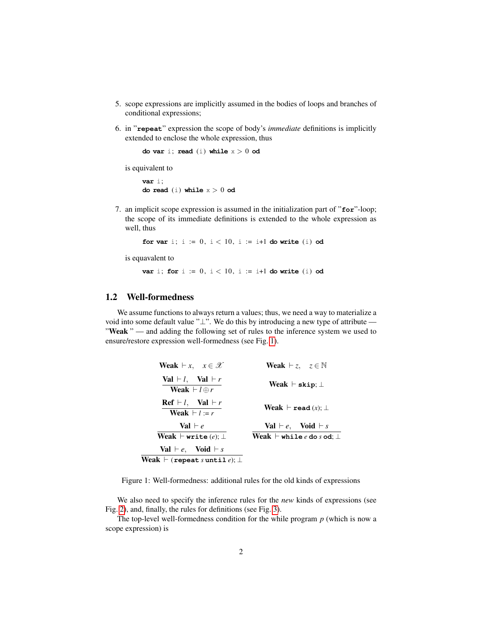- 5. scope expressions are implicitly assumed in the bodies of loops and branches of conditional expressions;
- 6. in "**repeat**" expression the scope of body's *immediate* definitions is implicitly extended to enclose the whole expression, thus

**do var** i; **read** (i) **while** x > 0 **od**

is equivalent to

**var** i; **do read** (i) **while** x > 0 **od**

7. an implicit scope expression is assumed in the initialization part of "**for**"-loop; the scope of its immediate definitions is extended to the whole expression as well, thus

**for var** i; i :=  $0, i < 10, i$  := i+1 **do write** (i) **od** 

is equavalent to

**var** i; **for**  $i := 0$ ,  $i < 10$ ,  $i := i+1$  **do write** (i) **od** 

### 1.2 Well-formedness

We assume functions to always return a values; thus, we need a way to materialize a void into some default value "⊥". We do this by introducing a new type of attribute — "Weak" — and adding the following set of rules to the inference system we used to ensure/restore expression well-formedness (see Fig. [1\)](#page-1-0).

<span id="page-1-0"></span>

| <b>Weak</b> $\vdash x, \quad x \in \mathcal{X}$                       | <b>Weak</b> $\vdash z, \quad z \in \mathbb{N}$ |
|-----------------------------------------------------------------------|------------------------------------------------|
| $Val \vdash l$ , $Val \vdash r$<br><b>Weak</b> $\vdash$ l $\oplus$ r  | Weak $\vdash$ skip; $\bot$                     |
| $\text{Ref} \vdash l$ , $\text{Val} \vdash r$<br>Weak $\vdash l := r$ | Weak $\vdash$ read $(x)$ ; $\bot$              |
| <b>Val</b> $\vdash e$                                                 | <b>Val</b> $\vdash e$ , <b>Void</b> $\vdash s$ |
| Weak $\vdash$ write $(e)$ : $\bot$                                    | Weak $\vdash$ while $e$ do $s$ od; $\bot$      |
| <b>Val</b> $\vdash e$ , <b>Void</b> $\vdash s$                        |                                                |
| Weak $\vdash$ (repeat s until e); $\bot$                              |                                                |

Figure 1: Well-formedness: additional rules for the old kinds of expressions

We also need to specify the inference rules for the *new* kinds of expressions (see Fig. [2\)](#page-2-0), and, finally, the rules for definitions (see Fig. [3\)](#page-2-1).

The top-level well-formedness condition for the while program *p* (which is now a scope expression) is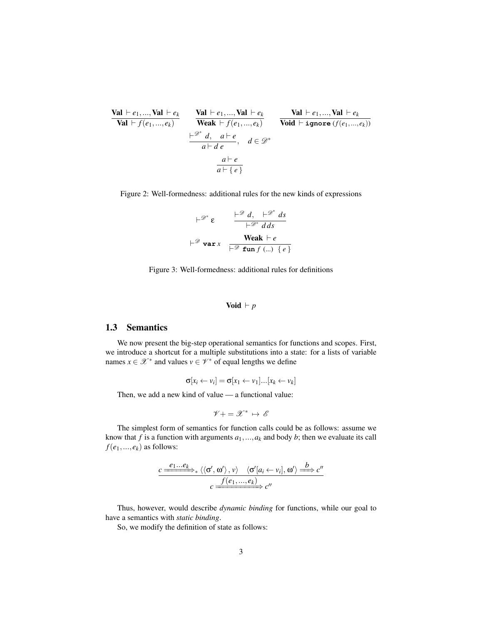<span id="page-2-0"></span>

| Val          | $e_1, ...,$ Val    | $e_k$        | Val                | $e_1, ...,$ Val | $e_k$           | Val                  | $e_1, ...,$ Val | $e_k$ |
|--------------|--------------------|--------------|--------------------|-----------------|-----------------|----------------------|-----------------|-------|
| Val          | $f(e_1, ..., e_k)$ | Weak         | $f(e_1, ..., e_k)$ | void            | $\vdash$ ignore | $(f(e_1, ..., e_k))$ |                 |       |
| $e^*$        | $\vdash$ $e$       | $\vdash$ $e$ |                    |                 |                 |                      |                 |       |
| $a \vdash d$ | $a \vdash e$       | $a \vdash e$ |                    |                 |                 |                      |                 |       |

<span id="page-2-1"></span>Figure 2: Well-formedness: additional rules for the new kinds of expressions

$$
\vdash^{\mathcal{D}^*} \varepsilon \qquad \frac{\vdash^{\mathcal{D}} d, \quad \vdash^{\mathcal{D}^*} ds}{\vdash^{\mathcal{D}^*} d ds}
$$
\n
$$
\vdash^{\mathcal{D}} \text{var } x \qquad \frac{\text{Weak } \vdash e}{\vdash^{\mathcal{D}} \text{ fun } f (\ldots) \{ e \}}
$$

Figure 3: Well-formedness: additional rules for definitions

$$
\mathbf{Void} \vdash p
$$

#### 1.3 Semantics

We now present the big-step operational semantics for functions and scopes. First, we introduce a shortcut for a multiple substitutions into a state: for a lists of variable names  $x \in \mathcal{X}^*$  and values  $v \in \mathcal{V}^*$  of equal lengths we define

$$
\sigma[x_i \leftarrow v_i] = \sigma[x_1 \leftarrow v_1] \dots [x_k \leftarrow v_k]
$$

Then, we add a new kind of value — a functional value:

$$
\mathscr{V}+ = \mathscr{X}^* \, \mapsto \, \mathscr{E}
$$

The simplest form of semantics for function calls could be as follows: assume we know that  $f$  is a function with arguments  $a_1, \ldots, a_k$  and body  $b$ ; then we evaluate its call  $f(e_1, ..., e_k)$  as follows:

$$
\xrightarrow{c} \xrightarrow{e_1 \dots e_k} \langle \langle \sigma', \omega' \rangle, v \rangle \quad \langle \sigma' [a_i \leftarrow v_i], \omega' \rangle \xrightarrow{b} c''
$$
\n
$$
\xrightarrow{f(e_1, \dots, e_k)} c''
$$

Thus, however, would describe *dynamic binding* for functions, while our goal to have a semantics with *static binding*.

So, we modify the definition of state as follows: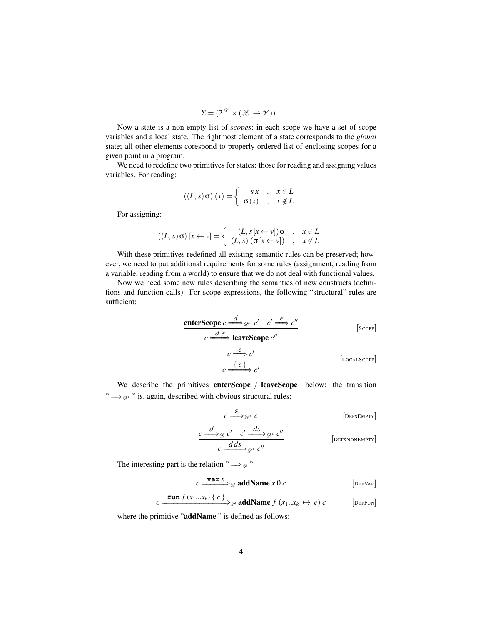$$
\Sigma = (2^{\mathscr{X}} \times (\mathscr{X} \to \mathscr{V}))^+
$$

Now a state is a non-empty list of *scopes*; in each scope we have a set of scope variables and a local state. The rightmost element of a state corresponds to the *global* state; all other elements corespond to properly ordered list of enclosing scopes for a given point in a program.

We need to redefine two primitives for states: those for reading and assigning values variables. For reading:

$$
((L, s) \sigma) (x) = \begin{cases} s x , & x \in L \\ \sigma(x) , & x \notin L \end{cases}
$$

For assigning:

$$
((L, s) \sigma) [x \leftarrow v] = \begin{cases} (L, s [x \leftarrow v]) \sigma , & x \in L \\ (L, s) (\sigma [x \leftarrow v]) , & x \notin L \end{cases}
$$

With these primitives redefined all existing semantic rules can be preserved; however, we need to put additional requirements for some rules (assignment, reading from a variable, reading from a world) to ensure that we do not deal with functional values.

Now we need some new rules describing the semantics of new constructs (definitions and function calls). For scope expressions, the following "structural" rules are sufficient:

$$
\begin{array}{ccc}\n\text{enterScope } c \xrightarrow{d} & c' & c' \xrightarrow{e} & c'' \\
\hline\nc \xrightarrow{de} & \text{leaveScope } c'' & & \text{[SCOPE]} \\
\hline\nc \xrightarrow{c} & c' & & \text{[LocALSC0PE]} \\
\hline\n\end{array}
$$

We describe the primitives enterScope / leaveScope below; the transition  $\Rightarrow \Rightarrow \Rightarrow$  " is, again, described with obvious structural rules:

$$
c \stackrel{\mathbf{E}}{\Longrightarrow} \mathcal{D}^* c
$$
 [DEFSEMPTY]

$$
\frac{c \xrightarrow{d}}{c \xrightarrow{dds}} c' \xrightarrow{c'} \frac{ds}{c^*}
$$
\n[DEFSIONEMPTY]

The interesting part is the relation "  $\Longrightarrow_{\mathcal{D}}$ ":

$$
c \xrightarrow{\text{var } x} g \text{ addName } x \text{ 0 } c
$$
 [DEFVaR]

$$
c \xrightarrow{\textbf{fun } f(x_1...x_k) \{e\}} \mathscr{D} \textbf{addName } f(x_1...x_k \mapsto e) c
$$
 [DEFUN]

where the primitive "addName" is defined as follows: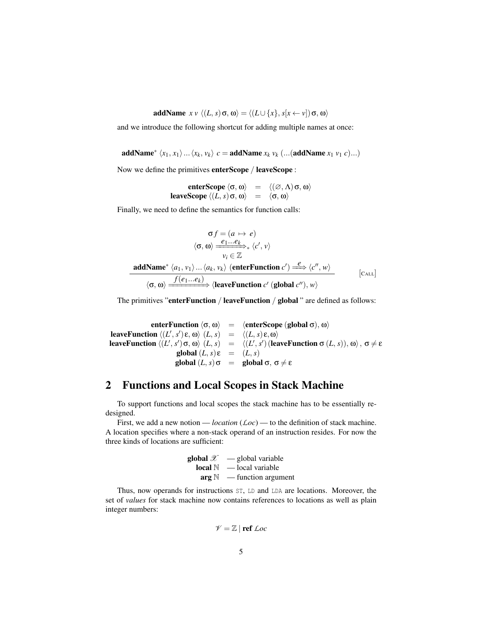addName  $x v \langle (L, s) \sigma, \omega \rangle = \langle (L \cup \{x\}, s[x \leftarrow v]) \sigma, \omega \rangle$ 

and we introduce the following shortcut for adding multiple names at once:

addName\*  $\langle x_1, x_1 \rangle ... \langle x_k, v_k \rangle$   $c =$  addName  $x_k$   $v_k$  (...(addName  $x_1$   $v_1$   $c) ...$ )

Now we define the primitives enterScope / leaveScope :

enterScope  $\langle \sigma, \omega \rangle$  =  $\langle (\varnothing, \Lambda) \sigma, \omega \rangle$ leaveScope  $\langle (L, s) \, \sigma, \omega \rangle$  =  $\langle \sigma, \omega \rangle$ 

Finally, we need to define the semantics for function calls:

$$
\sigma f = (a \mapsto e)
$$

$$
\langle \sigma, \omega \rangle \xrightarrow{e_1 \dots e_k} \langle c', v \rangle
$$

$$
v_i \in \mathbb{Z}
$$
**addName\***  $\langle a_1, v_1 \rangle \dots \langle a_k, v_k \rangle$  (enterFunction  $c' \rangle \xrightarrow{e} \langle c'', w \rangle$ 
$$
\langle \sigma, \omega \rangle \xrightarrow{f(e_1 \dots e_k)} \langle \text{leaveFunction } c' \text{ (global } c''), w \rangle
$$
 [Call]

The primitives "enterFunction / leaveFunction / global " are defined as follows:

enterFunction  $\langle \sigma, \omega \rangle$  =  $\langle$ enterScope (global  $\sigma$ ), ω $\rangle$ **leaveFunction**  $\langle (L', s') \varepsilon, \omega \rangle$   $(L, s)$  =  $\langle (L, s) \varepsilon, \omega \rangle$ leaveFunction  $\langle (L', s')\sigma, \omega \rangle$   $\langle L, s \rangle$  =  $\langle (L', s')$  (leaveFunction σ  $(L, s) ) , \omega \rangle$  , σ  $\neq$  ε  $\text{global}(L, s) \varepsilon = (L, s)$ global  $(L, s)$ σ = global σ, σ  $\neq \varepsilon$ 

# 2 Functions and Local Scopes in Stack Machine

To support functions and local scopes the stack machine has to be essentially redesigned.

First, we add a new notion — *location* (*Loc*) — to the definition of stack machine. A location specifies where a non-stack operand of an instruction resides. For now the three kinds of locations are sufficient:

| global $\mathscr X$ | — global variable   |
|---------------------|---------------------|
| local $\mathbb N$   | — local variable    |
| arg $\mathbb N$     | — function argument |

Thus, now operands for instructions ST, LD and LDA are locations. Moreover, the set of *values* for stack machine now contains references to locations as well as plain integer numbers:

$$
\mathscr{V}=\mathbb{Z}\mid\text{ref}\ \mathcal{L}oc
$$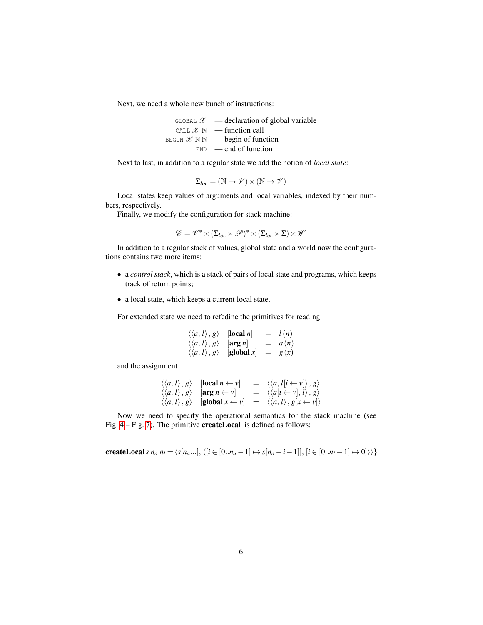Next, we need a whole new bunch of instructions:

GLOBAL  $\mathscr{X}$  — declaration of global variable CALL  $\mathscr{X} \mathbb{N}$  — function call BEGIN  $\mathscr{X} \mathbb{N} \mathbb{N}$  — begin of function  $END \text{ } - \text{ } end \text{ } of \text{ } function$ 

Next to last, in addition to a regular state we add the notion of *local state*:

$$
\Sigma_{loc} = (\mathbb{N} \to \mathscr{V}) \times (\mathbb{N} \to \mathscr{V})
$$

Local states keep values of arguments and local variables, indexed by their numbers, respectively.

Finally, we modify the configuration for stack machine:

$$
\mathscr{C} = \mathscr{V}^* \times (\Sigma_{loc} \times \mathscr{P})^* \times (\Sigma_{loc} \times \Sigma) \times \mathscr{W}
$$

In addition to a regular stack of values, global state and a world now the configurations contains two more items:

- a *control stack*, which is a stack of pairs of local state and programs, which keeps track of return points;
- a local state, which keeps a current local state.

For extended state we need to refedine the primitives for reading

$$
\begin{array}{rcl}\n\langle\langle a, l\rangle, g\rangle & [\text{local } n] & = & l(n) \\
\langle\langle a, l\rangle, g\rangle & [\text{arg } n] & = & a(n) \\
\langle\langle a, l\rangle, g\rangle & [\text{global } x] & = & g(x)\n\end{array}
$$

and the assignment

$$
\begin{array}{rcl}\n\langle\langle a,l\rangle,g\rangle &[\textbf{local }n\leftarrow v] &=& \langle\langle a,l[i\leftarrow v]\rangle,g\rangle \\
\langle\langle a,l\rangle,g\rangle &[\textbf{arg }n\leftarrow v] &=& \langle\langle a[i\leftarrow v],l\rangle,g\rangle \\
\langle\langle a,l\rangle,g\rangle &[\textbf{global }x\leftarrow v] &=& \langle\langle a,l\rangle,g[x\leftarrow v]\rangle\n\end{array}
$$

Now we need to specify the operational semantics for the stack machine (see Fig. [4](#page-6-0) – Fig. [7\)](#page-7-0). The primitive createLocal is defined as follows:

**createLocal** s 
$$
n_a n_l = \langle s[n_a...], \langle [i \in [0..n_a-1] \mapsto s[n_a-i-1]], [i \in [0..n_l-1] \mapsto 0] \rangle \rangle
$$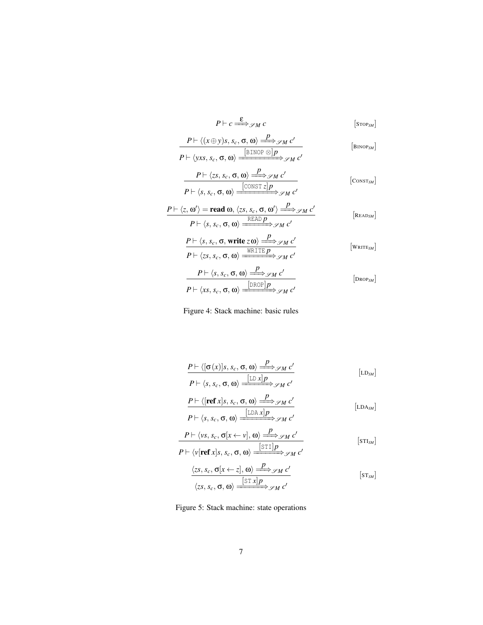<span id="page-6-0"></span>
$$
P \vdash c \xrightarrow{\mathcal{E}} \mathcal{S}M \ c \qquad \qquad \text{[STOPSM}]
$$
\n
$$
\frac{P \vdash \langle (x \oplus y)s, s_c, \sigma, \omega \rangle \xrightarrow{P} \mathcal{S}M \ c'}{P \vdash \langle yxs, s_c, \sigma, \omega \rangle \xrightarrow{[BINOP \otimes]P} \mathcal{S}M \ c'} \qquad \qquad \text{[BINOPSM}]
$$
\n
$$
\frac{P \vdash \langle z,s,c, \sigma, \omega \rangle \xrightarrow{[CONST z]P} \mathcal{S}M \ c'}{P \vdash \langle s,s_c, \sigma, \omega \rangle \xrightarrow{[CONST z]P} \mathcal{S}M \ c'} \qquad \qquad \text{[CONSTSM}]
$$
\n
$$
\frac{P \vdash \langle z, \omega' \rangle = \text{read } \omega, \langle zs, s_c, \sigma, \omega' \rangle \xrightarrow{P} \mathcal{S}M \ c'}{P \vdash \langle s,s_c, \sigma, \omega \rangle \xrightarrow{READP} \mathcal{S}M \ c'} \qquad \qquad \text{[READSM}]
$$
\n
$$
\frac{P \vdash \langle s, s_c, \sigma, \omega \rangle \xrightarrow{WRITE} \mathcal{S}M \ c'}{P \vdash \langle zs, s_c, \sigma, \omega \rangle \xrightarrow{WRITE} \mathcal{S}M \ c'} \qquad \qquad \text{[WRITESM}]}
$$
\n
$$
\frac{P \vdash \langle s, s_c, \sigma, \omega \rangle \xrightarrow{[DROP]P} \mathcal{S}M \ c'} \qquad \qquad \text{[DROPSM}]
$$

Figure 4: Stack machine: basic rules

$$
\frac{P \vdash \langle [\sigma(x)]s, s_c, \sigma, \omega \rangle \xrightarrow{P} \mathscr{S}_M c'}{P \vdash \langle s, s_c, \sigma, \omega \rangle \xrightarrow{[\text{LD }x]p} \mathscr{S}_M c'}
$$
\n
$$
\frac{P \vdash \langle [\text{ref }x]s, s_c, \sigma, \omega \rangle \xrightarrow{P} \mathscr{S}_M c'}{P \vdash \langle s, s_c, \sigma, \omega \rangle \xrightarrow{[\text{LD A }x]p} \mathscr{S}_M c'}
$$
\n[LDA<sub>SM</sub>]

$$
\frac{P \vdash \langle vs, s_c, \sigma[x \leftarrow v], \omega \rangle \xrightarrow{P} \mathscr{S}M \ c'}{P \vdash \langle v[\text{ref } x]s, s_c, \sigma, \omega \rangle \xrightarrow{[ST1]P} \mathscr{S}M \ c'}
$$
 [STI<sub>SM</sub>]

$$
\frac{\langle zs, s_c, \sigma[x \leftarrow z], \omega \rangle \xrightarrow{P} \mathscr{S}M C'}{\langle zs, s_c, \sigma, \omega \rangle \xrightarrow{[STx]P} \mathscr{S}M C'} [s_{TSM}]
$$

Figure 5: Stack machine: state operations